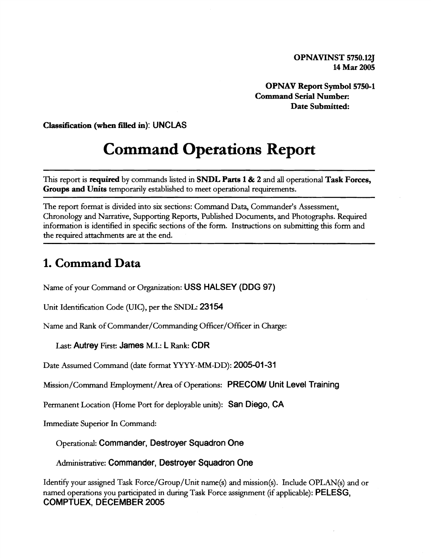**OPNAVINST 5750.125 14 Mar 2005** 

**OPNAV Report Symbol 5750-1 Command Serial Number: Date Submitted:** 

**Classification (when filled in): UNCLAS** 

# **Command Operations Report**

This report is **required** by commands listed in **SNDL Parts 1** & **2** and all operational **Task Forces, Groups and Units** temporarily established to meet operational requirements.

The report format is divided into six sections: Command Data, Commander's Assessment, Chronology and Narrative, Supporting Reports, Published Documents, and Photographs. Required information is identified in specific sections of the form. Instructions on submitting this form and the required attachments are at the end.

#### **1. Command Data**

Name of your Command or Organization: **USS HALSEY (DDG 97)** 

Unit Identification Code (UIC), per the SNDL: 23154

Name and Rank of Commander/Commanding Officer/Officer in Charge:

**Last: Autrey** First: **James** M.I.: **L Rank: CDR** 

Date Assumed Command (date format YYYY-MM-DD): **2005-01** -31

Mission/Cornrnand Employrnent/Area of Operations: **PRECOMI Unit Level Training** 

Permanent Location (Home Port for deployable units): **San Diego, CA** 

Immediate Superior In Command:

Operational: **Commander, Destroyer Squadron One** 

Administrative: **Commander, Destroyer \$quadron One** 

Identify your assigned Task Force/Group/Unit name(s) and rnission(s). Include OPLAN(s) and or named operations you participated in during Task Force assignment (if applicable): **PELESG, COMPTUEX, DECEMBER 2005**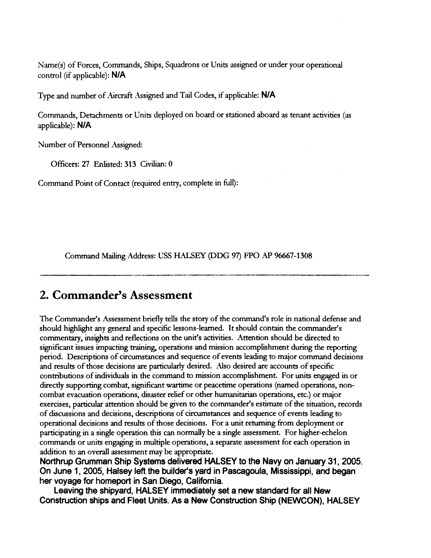Name(s) of Forces, Commands, Ships, Squadrons or Units assigned or under your operational control (if applicable): **NIA** 

Type and number of Aircraft Assigned and Tail Codes, if applicable: N/A

Commands, Detachments or Units deployed on board or stationed aboard as tenant activities (as applicable): **NIA** 

Number of Personnel Assigned:

Officers: 27 Enlisted: 313 Civilian: 0

Command Point of Contact (required entry, complete in full):

Command Mailing Address: USS HALSEY (DDG 97) FPO AP 96667-1308

#### **2. Commander's Assessment**

The Commander's Assessment briefly tells the story of the command's role in national defense and should highlight any general and specific lessons-learned. It should contain the commander's commentary, inslghts and reflections on the unit's activities. Attention should be directed to significant issues impacting **training,** operations and mission accomplishment during the reporting period. Descriptions of circumstances and sequence of events leading to major command decisions and results of those decisions are particularly desired. Also desired are accounts of specific contributions of individuals in the command to mission accomplishment. For units engaged in or directly supporting combat, significant wartime or peacetime operations (named operations, noncombat evacuation operations, disaster relief or other humanitarian operations, etc.) or major exercises, particular attention should be given to the commander's estimate of the situation, records of discussions and decisions, descriptions of circumstances and sequence of events leading to operational decisions and results of those decisions. For a unit returning from deployment or participating in a single operation this can normally be a single assessment. For higher-echelon commands or units engaging in multiple operations, a separate assessment for each operation in addition to **an** overall assessment may be appropriate.

**Northrup Grumman Ship Systems delivered HALSEY to the Navy on January 31,2005. On June 1, 2005, Halsey left the builder's yard in Pascagoula, Mississippi, and began her voyage for homeport in San Diego, California.** 

**Leaving the shipyard, HALSEY immediately set a new standard for all New Construction ships and Fleet Units. As a New Construction Ship (NEWCON), HALSEY**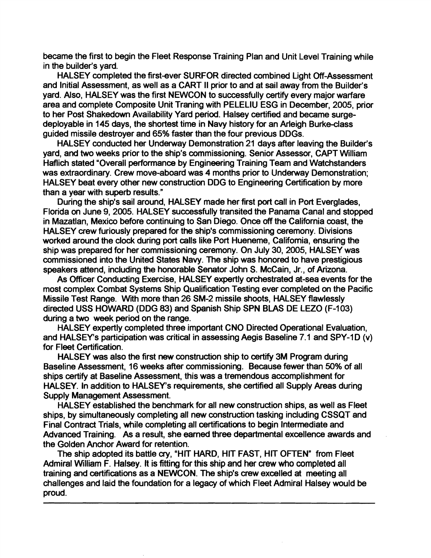became the first to begin the Fleet Response Training Plan and Unit Level Training while in the builder's yard.

HALSEY completed the first-ever SURFOR directed combined Light Off-Assessment and Initial Assessment, as well as a CART II prior to and at sail away from the Builder's yard. Also, HALSEY was the first NEWCON to successfully certify every major warfare area and complete Composite Unit Traning with PELELIU ESG in December, 2005, prior to her Post Shakedown Availability Yard period. Halsey certified and became surgedeployable in 145 days, the shortest time in Navy history for an Arleigh Burke-class guided missile destroyer and 65% faster than the four previous DDGs.

HALSEY conducted her Underway Demonstration 21 days after leaving the Builder's vard, and two weeks prior to the ship's commissioning. Senior Assessor, CAPT William Haflich stated "Overall performance by Engineering Training Team and Watchstanders was extraordinary. Crew move-aboard was 4 months prior to Underway Demonstration; HALSEY beat every other new construction DDG to Engineering Certification by more than a year with superb results."

During the ship's sail around, HALSEY made her first port call in Port Everglades, Florida on June 9, 2005. HALSEY successfully transited the Panama Canal and stopped in Mazatlan, Mexico before continuing to San Diego. Once off the California coast, the HALSEY crew furiously prepared for the ship's commissioning ceremony. Divisions worked around the dock during port calls like Port Hueneme, California, ensuring the ship was prepared for her commissioning ceremony. On July 30,2005, HALSEY was commissioned into the United States Navy. The ship was honored to have prestigious speakers attend, including the honorable \$enator John S. McCain, Jr., of Arizona.

As Officer Conducting Exercise, HALSEY expertly orchestrated at-sea events for the most complex Combat Systems Ship Qualification Testing ever completed on the Pacific Missile Test Range. With more than 26 SM-2 missile shoots, HALSEY flawlessly directed USS HOWARD (DDG 83) and Spanish Ship SPN BLAS DE LEZO (F-103) during a two week period on the range.

HALSEY expertly completed three important CNO Directed Operational Evaluation, and HALSEY's participation was critical in assessing Aegis Baseline 7.1 and SPY-1D (v) for Fleet Certification.

HALSEY was also the first *new* construction ship to certify 3M Program during Baseline Assessment, 16 weeks after commissioning. Because fewer than 50% of all ships certify at Baseline Assessment, this was a tremendous accomplishment for HALSEY. In addition to HALSEY's requirements, she certified all Supply Areas during Supply Management Assessment.

HALSEY established the benchmark for all new construction ships, as well as Fleet ships, by simultaneously completing all new construction tasking including CSSQT and Final Contract Trials, while completing all certifications to begin Intermediate and Advanced Training. As a result, she earned three departmental excellence awards and the Golden Anchor Award for retention.

The ship adopted its battle cry, "HIT HARD, HIT FAST, HIT OFTEN" from Fleet Admiral William F. Halsey. It is fitting for this ship and her crew who completed ail training and certifications as a NEWCON. The ship's crew excelled at meeting all challenges and laid the foundation for a legacy of which Fleet Admiral Halsey would be proud.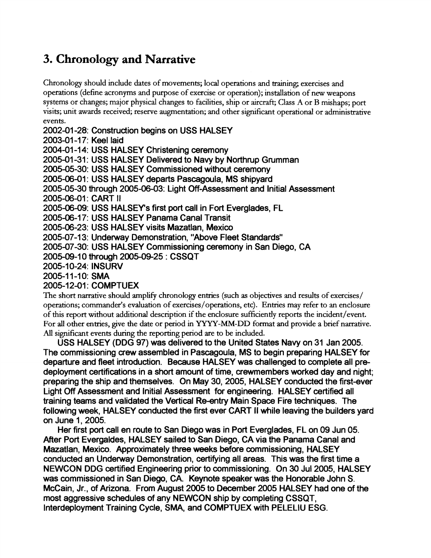# **3. Chronology and Narrative**

Chronology should include dates of movements; local operations and training, exercises and operations (define acronyms and purpose of exercise or operation); installation of new weapons systems or changes; major physical changes to facilities, ship or aircraft; Class **A** or B mishaps; port visits; unit awards received; reserve augmentation; and other significant operational or adrmnistrative events.

2002-01 -28: Construction begins on USS HALSEY 2003-01-17: Keel laid 2004-01 -1 4: USS HALSEY Christening ceremony 2005-01-31: USS HALSEY Delivered to Navy by Northrup Grumman 2005-05-30: USS HALSEY Commissioned without ceremony 2005-06-01 : USS HALSEY departs Pascagoula, MS shipyard 2005-05-30 through 2005-06-03: Light Off-Assessment and Initial Assessment 2005-06-01: CART II 2005-06-09: USS HALSEYs first port call in Fort Everglades, FL 2005-06-17: USS HALSEY Panama Canal Transit 2005-06-23: USS HALSEY visits Mazatlan, Mexico 2005-07-13: Underway Demonstration, "Above Fleet Standards" 2005-07-30: USS HALSEY Commissioning ceremony in San Diego, CA 2005-09-1 0 through 2005-09-25 : CSSQT 2005-10-24: INSURV 2005-11-10: SMA 2005-12-01 : COMPTUEX The short narrative should amplify chronology entries (such as objectives and results of exercises/

operations; commander's evaluation of exercises/operations, etc). Entries may refer to an enclosure of this report without additional description if the enclosure sufficiently reports the incident/event. For all other entries, give the date or period in YYYY-MM-DD format and provide a brief narrative. AU significant events during the reporting period are to be included.

USS HALSEY (DDG 97) was delivered to the United States Navy on 31 Jan 2005. The commissioning crew assembled in Pascagoula, MS to begin preparing HALSEY for departure and fleet introduction. Because HALSEY was challenged to complete all predeployment certifications in a short amount of time, crewmembers worked day and night; preparing the ship and themselves. On May 30,2005, HALSEY conducted the first-ever Light **Off** Assessment and Initial Assessment for engineering. HALSEY certified all training teams and validated the Vertical Re-entry Main Space Fire techniques. The following week, HALSEY conducted the first ever CART II while leaving the builders yard on June 1,2005.

Her first port call en route to San Diego was in Port Everglades, FL on 09 Jun 05. After Port Evergaldes, HALSEY sailed to San Diego, CA via the Panama Canal and Mazatlan, Mexico. Approximately three weeks before commissioning, HALSEY conducted an Underway Demonstration, certifying all areas. This was the first time a NEWCON DDG certified Engineering prior to commissioning. On 30 Jul 2005, HALSEY was commissioned in San Diego, CA. Keynote speaker was the Honorable John S. McCain, Jr., of Arizona. From August 2005 to December 2005 HALSEY had one of the most aggressive schedules of any NEWCON ship by completing CSSQT, Interdeployment Training Cycle, SMA, and COMPTUEX with PELELIU ESG.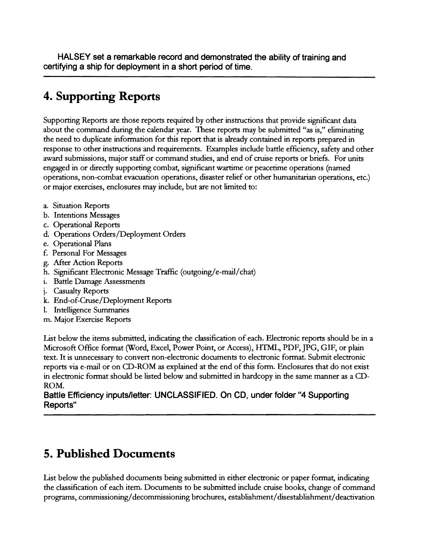**HALSEY set a remarkable record and demonstrated the ability of training and certifying a ship for deployment in a short period of time.** 

### **4. Supporting Reports**

Supporting Reports are those reports required by other instructions that provide significant data about the command during the calendar year. These reports may be submitted "as is," eliminating the need to duplicate information for this report that is already contained in reports prepared in response to other instructions and requirements. Examples include battle efficiency, safety and other award submissions, major staff or command studies, and end of cruise reports or briefs. For units engaged in or directly supporting combat, significant wartime or peacetime operations (named operations, non-combat evacuation operations, disaster relief or other humanitarian operations, etc.) or major exercises, enclosures may include, but are not limited to:

- a. Situation Reports
- b. Intentions Messages
- c. Operational Reports
- d. Operations Orders/Deployment Orders
- e. Operational Plans
- f. Personal For Messages
- g. After Action Reports
- h. Significant Electronic Message Traffic (outgoing/e-mail/chat)
- i. Battle Damage Assessments
- j. Casualty Reports
- k. End-of-Cruse/Deployment Reports
- 1. Intelligence Summaries
- m. Major Exercise Reports

List below the items submitted, indicating the classification of each. Electronic reports should be in a Microsoft Office format (Word, Excel, Power Point, or Access), HTML, PDF, JPG, GIF, or plain text. It is unnecessary to convert nonelectronic documents to electronic format. Submit electronic reports via e-mail or on CD-ROM as explained at the end of this form. Enclosures that do not exist in electronic format should be listed below and submitted in hardcopy in the same manner as a CD-ROM.

**Battle Efficiency inputslletter: UNCLASSIFIED. On CD, under folder "4 Supporting Reports"** 

#### **5. Published Documents**

List below the published documents being submitted in either electronic or paper format, indicating the classification of each item. Documents to be submitted include cruise books, change of command programs, **cornmissioning/decommissioning** brochures, **establishment/disestablishment/deactivation**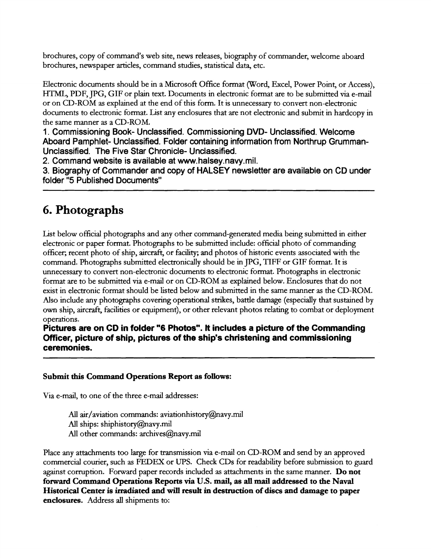brochures, copy of command's web site, news releases, biography of commander, welcome aboard brochures, newspaper articles, command studies, statistical data, etc.

Electronic documents should be in a Microsoft Office format (Word, Excel, Power Point, or Access), HTML, PDF, JPG, GIF or plain text. Documents in electronic format are to be submitted via e-mail or on CD-ROM as explained at the end of this form. It is unnecessary to convert non-electronic documents to electronic format. List any enclosures that are not electronic and submit in hardcopy in the same manner as a CD-ROM.

1. Commissioning Book- Unclassified. Commissioning DVD- Unclassified. Welcome Aboard Pamphlet- Unclassified. Folder containing information from Northrup Grumman-Unclassified. The Five Star Chronicle- Unclassified.

2. Command website is available at www.halsey.navy.mil.

3. Biography of Commander and copy of HALSEY newsletter are available on CD under folder "5 Published Documents"

## **6. Photographs**

List below official photographs and any other command-generated media being submitted in either electronic or paper format. Photographs to be submitted include: official photo of commanding officer; recent photo of ship, aircraft, or facility; and photos of historic events associated with the command. Photographs submitted electronically should be in JPG, TIFF or GIF format. It is unnecessary to convert non-electronic documents to electronic format. Photographs in electronic format are to be submitted via e-mad or on CD-ROM as explained below. Enclosures that do not exist in electronic format should be listed below and submitted in the same manner as the CD-ROM. Also include any photographs covering operational strikes, battle damage (especially that sustained by own ship, aircraft, facilities or equipment), or other relevant photos relating to combat or deployment operations.

**Pictures are on CD in folder "6 Photos". It includes a picture of the Commanding Officer, picture of ship, pictures of the ship's christening and commissioning ceremonies.** 

#### **Submit this Command Operations Report as follows:**

Via e-mail, to one of the three e-mail addresses:

All air/aviation commands: aviationhistory@navy.mil All ships: shiphistory $(a)$ navy.mil All other commands: archives@navy.mil

Place any attachments too large for transmission via e-mail on CD-ROM and send by an approved commercial courier, such as FEDEX or UPS. Check CDs for readability before submission to guard against corruption. Forward paper records included as attachments in the same manner. **Do not forward Command Operations Reports via U.S. mail, as all mail addressed to the Naval Historical Center is irradiated and will result in destruction of discs and damage to paper enclosures.** Address all shipments to: